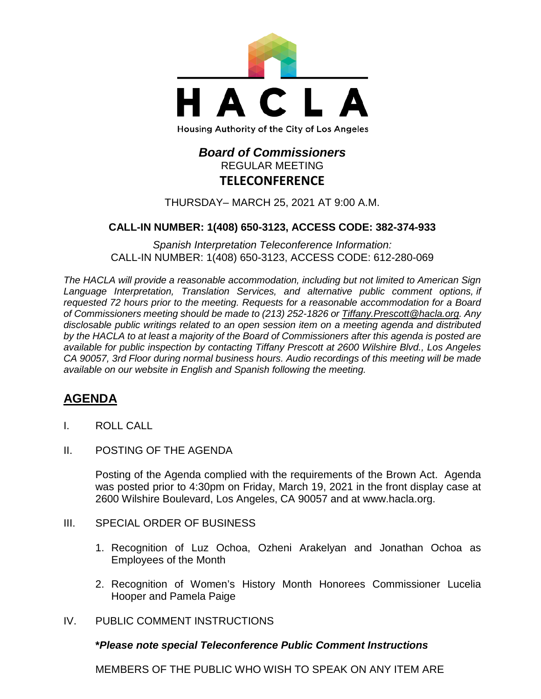

# *Board of Commissioners* REGULAR MEETING **TELECONFERENCE**

THURSDAY– MARCH 25, 2021 AT 9:00 A.M.

# **CALL-IN NUMBER: 1(408) 650-3123, ACCESS CODE: 382-374-933**

*Spanish Interpretation Teleconference Information:* CALL-IN NUMBER: 1(408) 650-3123, ACCESS CODE: 612-280-069

*The HACLA will provide a reasonable accommodation, including but not limited to American Sign Language Interpretation, Translation Services, and alternative public comment options, if requested 72 hours prior to the meeting. Requests for a reasonable accommodation for a Board of Commissioners meeting should be made to (213) 252-1826 or Tiffany.Prescott@hacla.org. Any disclosable public writings related to an open session item on a meeting agenda and distributed by the HACLA to at least a majority of the Board of Commissioners after this agenda is posted are available for public inspection by contacting Tiffany Prescott at 2600 Wilshire Blvd., Los Angeles CA 90057, 3rd Floor during normal business hours. Audio recordings of this meeting will be made available on our website in English and Spanish following the meeting.*

# **AGENDA**

- I. ROLL CALL
- II. POSTING OF THE AGENDA

Posting of the Agenda complied with the requirements of the Brown Act. Agenda was posted prior to 4:30pm on Friday, March 19, 2021 in the front display case at 2600 Wilshire Boulevard, Los Angeles, CA 90057 and at [www.hacla.org.](http://www.hacla.org/)

#### III. SPECIAL ORDER OF BUSINESS

- 1. Recognition of Luz Ochoa, Ozheni Arakelyan and Jonathan Ochoa as Employees of the Month
- 2. Recognition of Women's History Month Honorees Commissioner Lucelia Hooper and Pamela Paige
- IV. PUBLIC COMMENT INSTRUCTIONS

#### **\****Please note special Teleconference Public Comment Instructions*

MEMBERS OF THE PUBLIC WHO WISH TO SPEAK ON ANY ITEM ARE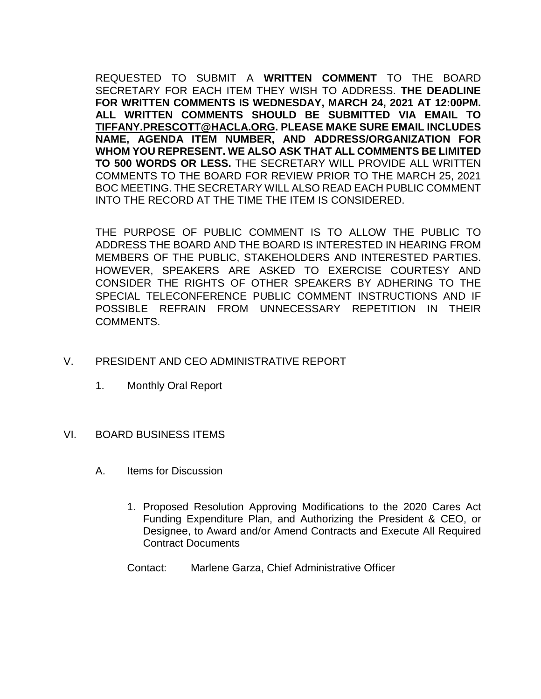REQUESTED TO SUBMIT A **WRITTEN COMMENT** TO THE BOARD SECRETARY FOR EACH ITEM THEY WISH TO ADDRESS. **THE DEADLINE FOR WRITTEN COMMENTS IS WEDNESDAY, MARCH 24, 2021 AT 12:00PM. ALL WRITTEN COMMENTS SHOULD BE SUBMITTED VIA EMAIL TO [TIFFANY.PRESCOTT@HACLA.ORG.](mailto:TIFFANY.PRESCOTT@HACLA.ORG) PLEASE MAKE SURE EMAIL INCLUDES NAME, AGENDA ITEM NUMBER, AND ADDRESS/ORGANIZATION FOR WHOM YOU REPRESENT. WE ALSO ASK THAT ALL COMMENTS BE LIMITED TO 500 WORDS OR LESS.** THE SECRETARY WILL PROVIDE ALL WRITTEN COMMENTS TO THE BOARD FOR REVIEW PRIOR TO THE MARCH 25, 2021 BOC MEETING. THE SECRETARY WILL ALSO READ EACH PUBLIC COMMENT INTO THE RECORD AT THE TIME THE ITEM IS CONSIDERED.

THE PURPOSE OF PUBLIC COMMENT IS TO ALLOW THE PUBLIC TO ADDRESS THE BOARD AND THE BOARD IS INTERESTED IN HEARING FROM MEMBERS OF THE PUBLIC, STAKEHOLDERS AND INTERESTED PARTIES. HOWEVER, SPEAKERS ARE ASKED TO EXERCISE COURTESY AND CONSIDER THE RIGHTS OF OTHER SPEAKERS BY ADHERING TO THE SPECIAL TELECONFERENCE PUBLIC COMMENT INSTRUCTIONS AND IF POSSIBLE REFRAIN FROM UNNECESSARY REPETITION IN THEIR COMMENTS.

# V. PRESIDENT AND CEO ADMINISTRATIVE REPORT

1. Monthly Oral Report

#### VI. BOARD BUSINESS ITEMS

- A. Items for Discussion
	- 1. Proposed Resolution Approving Modifications to the 2020 Cares Act Funding Expenditure Plan, and Authorizing the President & CEO, or Designee, to Award and/or Amend Contracts and Execute All Required Contract Documents
	- Contact: Marlene Garza, Chief Administrative Officer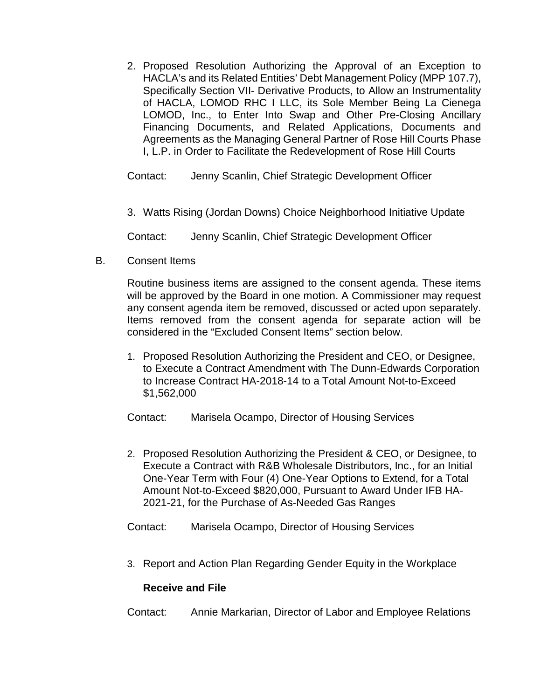2. Proposed Resolution Authorizing the Approval of an Exception to HACLA's and its Related Entities' Debt Management Policy (MPP 107.7), Specifically Section VII- Derivative Products, to Allow an Instrumentality of HACLA, LOMOD RHC I LLC, its Sole Member Being La Cienega LOMOD, Inc., to Enter Into Swap and Other Pre-Closing Ancillary Financing Documents, and Related Applications, Documents and Agreements as the Managing General Partner of Rose Hill Courts Phase I, L.P. in Order to Facilitate the Redevelopment of Rose Hill Courts

Contact: Jenny Scanlin, Chief Strategic Development Officer

3. Watts Rising (Jordan Downs) Choice Neighborhood Initiative Update

Contact: Jenny Scanlin, Chief Strategic Development Officer

B. Consent Items

Routine business items are assigned to the consent agenda. These items will be approved by the Board in one motion. A Commissioner may request any consent agenda item be removed, discussed or acted upon separately. Items removed from the consent agenda for separate action will be considered in the "Excluded Consent Items" section below.

1. Proposed Resolution Authorizing the President and CEO, or Designee, to Execute a Contract Amendment with The Dunn-Edwards Corporation to Increase Contract HA-2018-14 to a Total Amount Not-to-Exceed \$1,562,000

Contact: Marisela Ocampo, Director of Housing Services

- 2. Proposed Resolution Authorizing the President & CEO, or Designee, to Execute a Contract with R&B Wholesale Distributors, Inc., for an Initial One-Year Term with Four (4) One-Year Options to Extend, for a Total Amount Not-to-Exceed \$820,000, Pursuant to Award Under IFB HA-2021-21, for the Purchase of As-Needed Gas Ranges
- Contact: Marisela Ocampo, Director of Housing Services
- 3. Report and Action Plan Regarding Gender Equity in the Workplace

# **Receive and File**

Contact: Annie Markarian, Director of Labor and Employee Relations